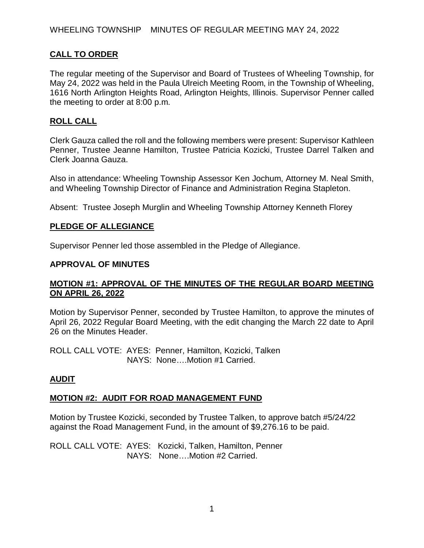# **CALL TO ORDER**

The regular meeting of the Supervisor and Board of Trustees of Wheeling Township, for May 24, 2022 was held in the Paula Ulreich Meeting Room, in the Township of Wheeling, 1616 North Arlington Heights Road, Arlington Heights, Illinois. Supervisor Penner called the meeting to order at 8:00 p.m.

### **ROLL CALL**

Clerk Gauza called the roll and the following members were present: Supervisor Kathleen Penner, Trustee Jeanne Hamilton, Trustee Patricia Kozicki, Trustee Darrel Talken and Clerk Joanna Gauza.

Also in attendance: Wheeling Township Assessor Ken Jochum, Attorney M. Neal Smith, and Wheeling Township Director of Finance and Administration Regina Stapleton.

Absent: Trustee Joseph Murglin and Wheeling Township Attorney Kenneth Florey

#### **PLEDGE OF ALLEGIANCE**

Supervisor Penner led those assembled in the Pledge of Allegiance.

#### **APPROVAL OF MINUTES**

#### **MOTION #1: APPROVAL OF THE MINUTES OF THE REGULAR BOARD MEETING ON APRIL 26, 2022**

Motion by Supervisor Penner, seconded by Trustee Hamilton, to approve the minutes of April 26, 2022 Regular Board Meeting, with the edit changing the March 22 date to April 26 on the Minutes Header.

ROLL CALL VOTE: AYES: Penner, Hamilton, Kozicki, Talken NAYS: None….Motion #1 Carried.

#### **AUDIT**

#### **MOTION #2: AUDIT FOR ROAD MANAGEMENT FUND**

Motion by Trustee Kozicki, seconded by Trustee Talken, to approve batch #5/24/22 against the Road Management Fund, in the amount of \$9,276.16 to be paid.

ROLL CALL VOTE: AYES: Kozicki, Talken, Hamilton, Penner NAYS: None….Motion #2 Carried.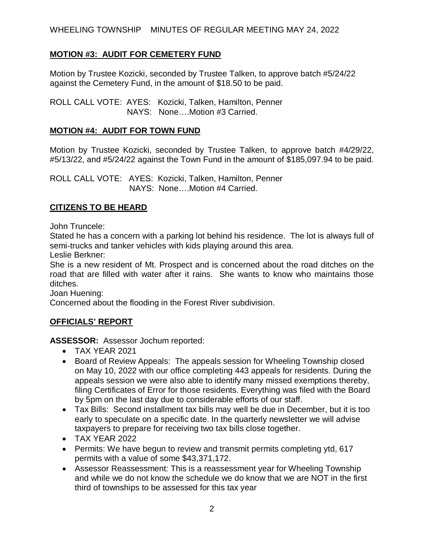WHEELING TOWNSHIP MINUTES OF REGULAR MEETING MAY 24, 2022

## **MOTION #3: AUDIT FOR CEMETERY FUND**

Motion by Trustee Kozicki, seconded by Trustee Talken, to approve batch #5/24/22 against the Cemetery Fund, in the amount of \$18.50 to be paid.

ROLL CALL VOTE: AYES: Kozicki, Talken, Hamilton, Penner NAYS: None….Motion #3 Carried.

#### **MOTION #4: AUDIT FOR TOWN FUND**

Motion by Trustee Kozicki, seconded by Trustee Talken, to approve batch #4/29/22, #5/13/22, and #5/24/22 against the Town Fund in the amount of \$185,097.94 to be paid.

ROLL CALL VOTE: AYES: Kozicki, Talken, Hamilton, Penner NAYS: None….Motion #4 Carried.

### **CITIZENS TO BE HEARD**

John Truncele:

Stated he has a concern with a parking lot behind his residence. The lot is always full of semi-trucks and tanker vehicles with kids playing around this area.

Leslie Berkner:

She is a new resident of Mt. Prospect and is concerned about the road ditches on the road that are filled with water after it rains. She wants to know who maintains those ditches.

Joan Huening:

Concerned about the flooding in the Forest River subdivision.

## **OFFICIALS' REPORT**

**ASSESSOR:** Assessor Jochum reported:

- TAX YEAR 2021
- Board of Review Appeals: The appeals session for Wheeling Township closed on May 10, 2022 with our office completing 443 appeals for residents. During the appeals session we were also able to identify many missed exemptions thereby, filing Certificates of Error for those residents. Everything was filed with the Board by 5pm on the last day due to considerable efforts of our staff.
- Tax Bills: Second installment tax bills may well be due in December, but it is too early to speculate on a specific date. In the quarterly newsletter we will advise taxpayers to prepare for receiving two tax bills close together.
- TAX YEAR 2022
- Permits: We have begun to review and transmit permits completing ytd, 617 permits with a value of some \$43,371,172.
- Assessor Reassessment: This is a reassessment year for Wheeling Township and while we do not know the schedule we do know that we are NOT in the first third of townships to be assessed for this tax year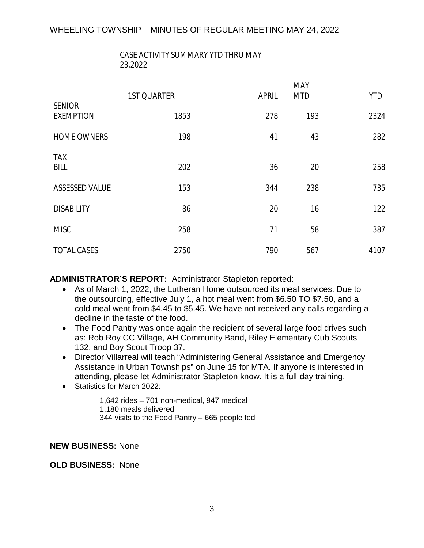## CASE ACTIVITY SUMMARY YTD THRU MAY 23,2022

|                                   | <b>1ST QUARTER</b> | <b>APRIL</b> | MAY<br><b>MTD</b> | <b>YTD</b> |
|-----------------------------------|--------------------|--------------|-------------------|------------|
| <b>SENIOR</b><br><b>EXEMPTION</b> | 1853               | 278          | 193               | 2324       |
| <b>HOME OWNERS</b>                | 198                | 41           | 43                | 282        |
| <b>TAX</b><br><b>BILL</b>         | 202                | 36           | 20                | 258        |
| <b>ASSESSED VALUE</b>             | 153                | 344          | 238               | 735        |
| <b>DISABILITY</b>                 | 86                 | 20           | 16                | 122        |
| <b>MISC</b>                       | 258                | 71           | 58                | 387        |
| <b>TOTAL CASES</b>                | 2750               | 790          | 567               | 4107       |

#### **ADMINISTRATOR'S REPORT:** Administrator Stapleton reported:

- As of March 1, 2022, the Lutheran Home outsourced its meal services. Due to the outsourcing, effective July 1, a hot meal went from \$6.50 TO \$7.50, and a cold meal went from \$4.45 to \$5.45. We have not received any calls regarding a decline in the taste of the food.
- The Food Pantry was once again the recipient of several large food drives such as: Rob Roy CC Village, AH Community Band, Riley Elementary Cub Scouts 132, and Boy Scout Troop 37.
- Director Villarreal will teach "Administering General Assistance and Emergency Assistance in Urban Townships" on June 15 for MTA. If anyone is interested in attending, please let Administrator Stapleton know. It is a full-day training.
- Statistics for March 2022:

1,642 rides – 701 non-medical, 947 medical 1,180 meals delivered 344 visits to the Food Pantry – 665 people fed

#### **NEW BUSINESS:** None

**OLD BUSINESS:** None